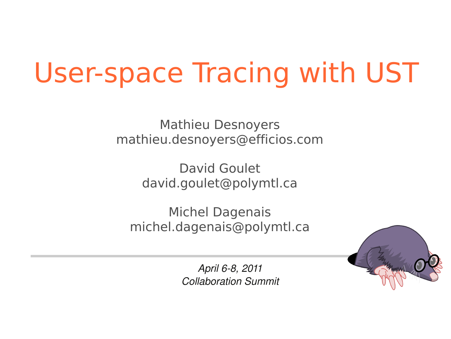# User-space Tracing with UST

Mathieu Desnoyers mathieu.desnoyers@efficios.com

> David Goulet david.goulet@polymtl.ca

Michel Dagenais michel.dagenais@polymtl.ca



April 6-8, 2011 *Collaboration Summit*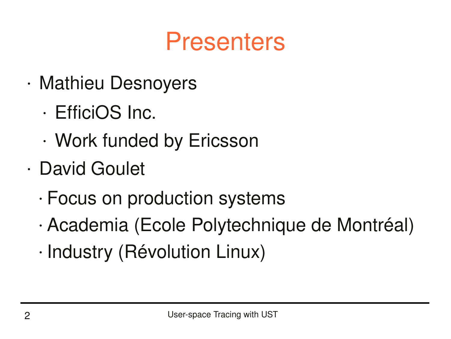### Presenters

- Mathieu Desnoyers
	- EfficiOS Inc.
	- Work funded by Ericsson
- David Goulet
	- Focus on production systems
	- Academia (Ecole Polytechnique de Montréal)
	- Industry (Révolution Linux)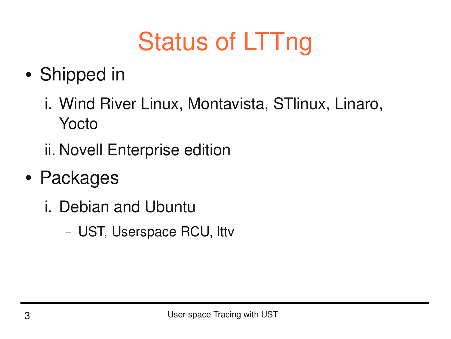# Status of LTTng

- Shipped in
	- i. Wind River Linux, Montavista, STlinux, Linaro, Yocto
	- ii. Novell Enterprise edition
- Packages
	- i. Debian and Ubuntu
		- UST, Userspace RCU, lttv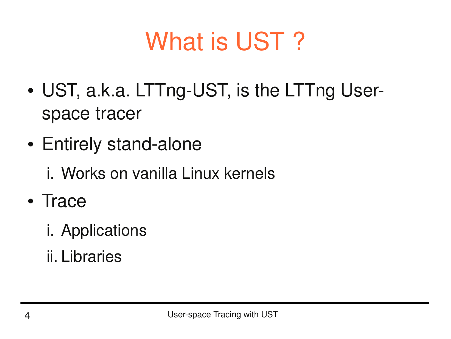## What is UST?

- UST, a.k.a. LTTng-UST, is the LTTng Userspace tracer
- Entirely stand-alone
	- i. Works on vanilla Linux kernels
- Trace
	- i. Applications
	- ii. Libraries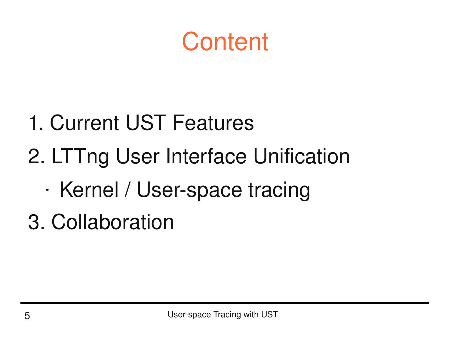### **Content**

- 1. Current UST Features
- 2. LTTng User Interface Unification
	- Kernel / User-space tracing
- 3. Collaboration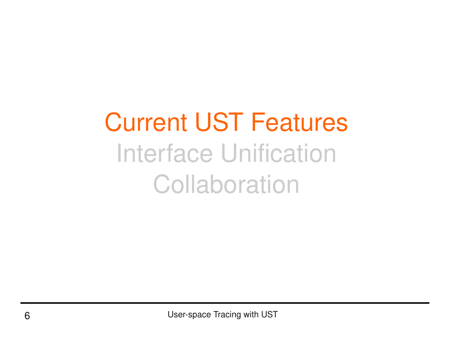# Current UST Features Interface Unification **Collaboration**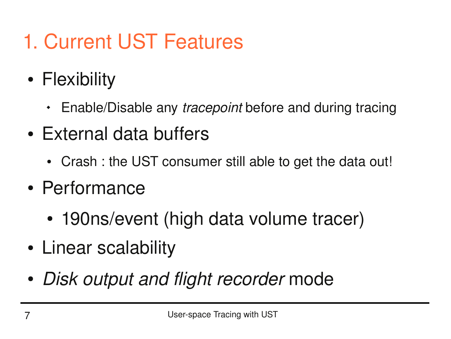- 1. Current UST Features
- Flexibility
	- Enable/Disable any *tracepoint* before and during tracing
- External data buffers
	- Crash : the UST consumer still able to get the data out!
- Performance
	- 190ns/event (high data volume tracer)
- Linear scalability
- *Disk output and flight recorder* mode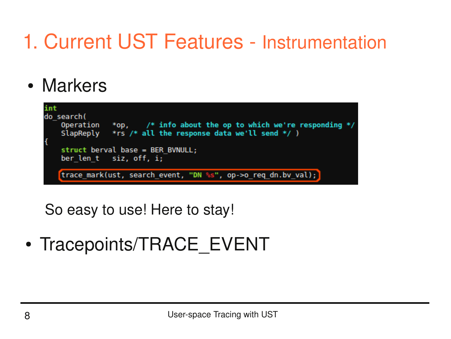### 1. Current UST Features - Instrumentation

• Markers



So easy to use! Here to stay!

• Tracepoints/TRACE EVENT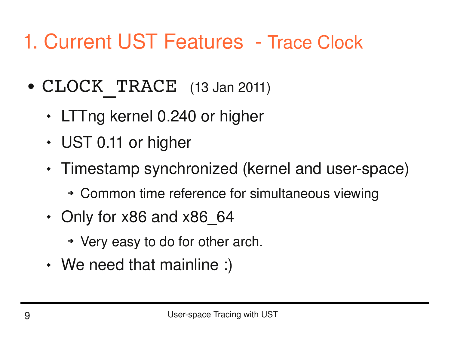#### 1. Current UST Features - Trace Clock

- CLOCK TRACE (13 Jan 2011)
	- LTTng kernel 0.240 or higher
	- UST 0.11 or higher
	- Timestamp synchronized (kernel and user-space)
		- ➔ Common time reference for simultaneous viewing
	- Only for x86 and x86 64
		- ➔ Very easy to do for other arch.
	- We need that mainline :)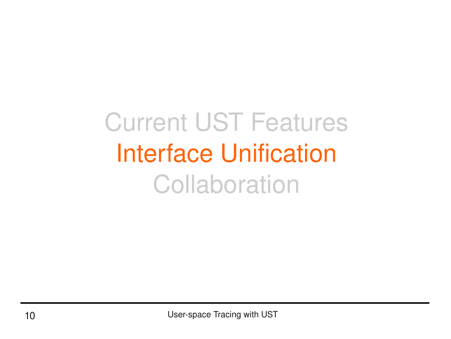# Current UST Features Interface Unification **Collaboration**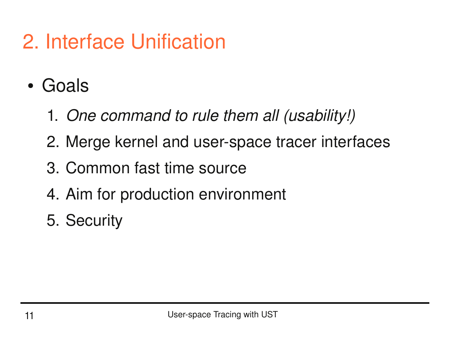### 2. Interface Unification

- Goals
	- 1. *One command to rule them all (usability!)*
	- 2. Merge kernel and user-space tracer interfaces
	- 3. Common fast time source
	- 4. Aim for production environment
	- 5. Security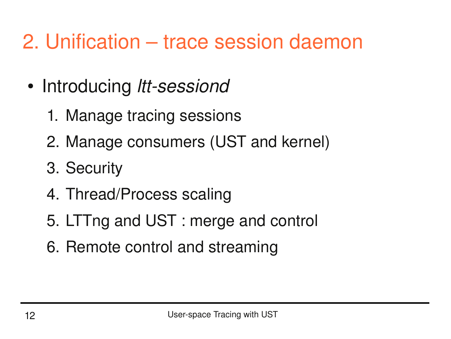#### 2. Unification – trace session daemon

- Introducing *ltt-sessiond* 
	- 1. Manage tracing sessions
	- 2. Manage consumers (UST and kernel)
	- 3. Security
	- 4. Thread/Process scaling
	- 5. LTTng and UST : merge and control
	- 6. Remote control and streaming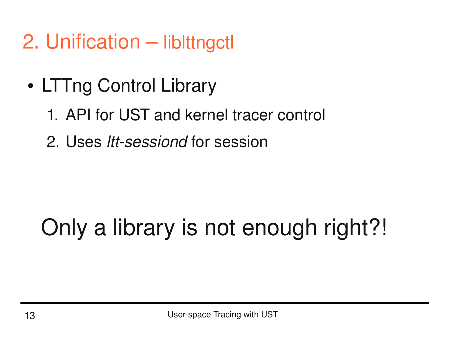- 2. Unification libittngctl
	- LTTng Control Library
		- 1. API for UST and kernel tracer control
		- 2. Uses *Itt-sessiond* for session

## Only a library is not enough right?!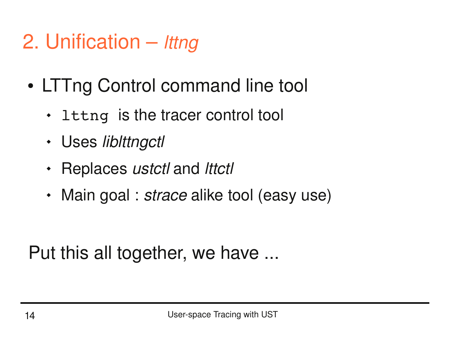- 2. Unification *lttng*
	- LTTng Control command line tool
		- $\cdot$  lttng is the tracer control tool
		- Uses *liblttngctl*
		- Replaces *ustctl* and *lttctl*
		- Main goal : *strace* alike tool (easy use)

Put this all together, we have ...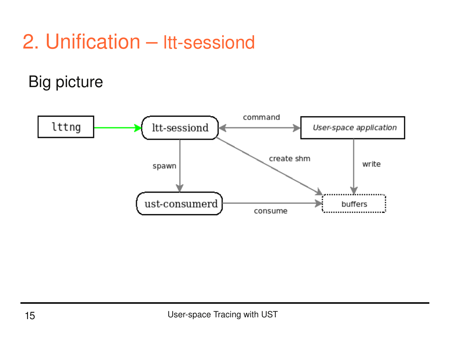#### 2. Unification - Itt-sessiond

#### **Big picture**

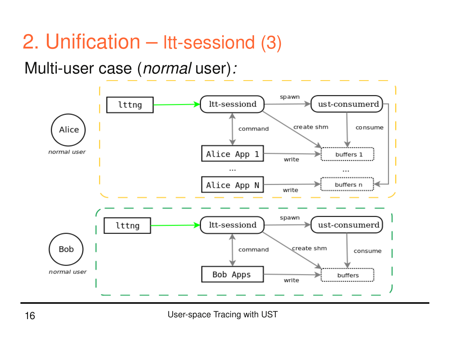#### 2. Unification - Itt-sessiond (3)

Multi-user case (normal user):

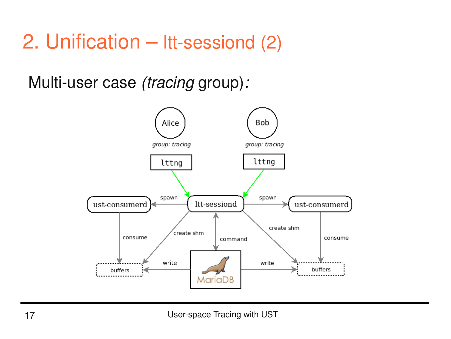#### 2. Unification - Itt-sessiond (2)

Multi-user case (tracing group):

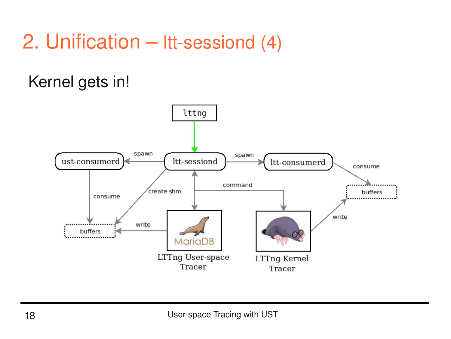#### 2. Unification - Itt-sessiond (4)

#### Kernel gets in!

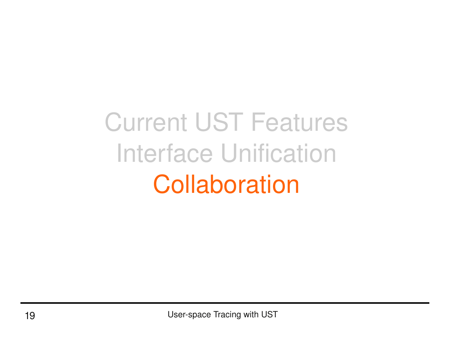# Current UST Features Interface Unification **Collaboration**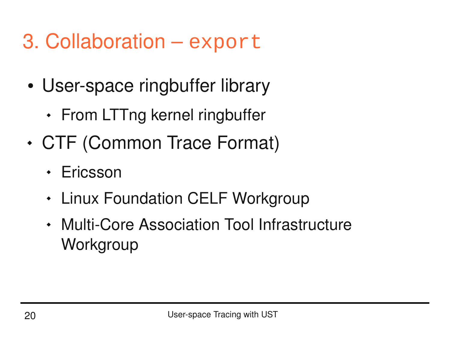#### 3. Collaboration – export

- User-space ringbuffer library
	- From LTTng kernel ringbuffer
- CTF (Common Trace Format)
	- Ericsson
	- Linux Foundation CELF Workgroup
	- Multi-Core Association Tool Infrastructure **Workgroup**